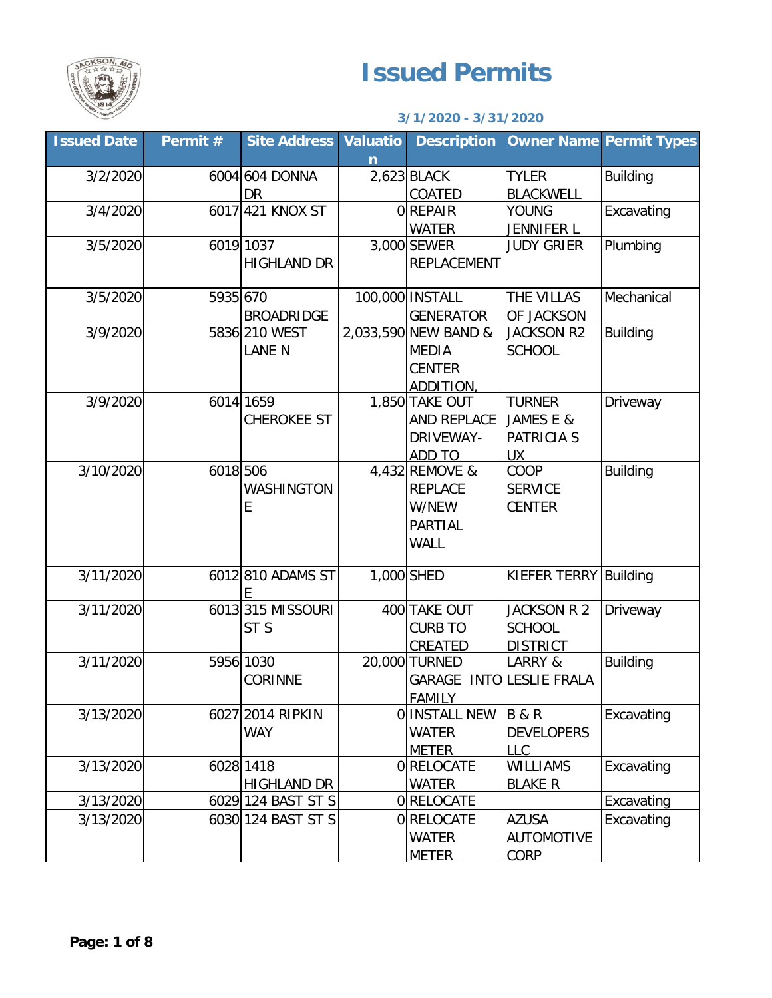

## **Issued Permits**

## **3/1/2020 - 3/31/2020**

| <b>Issued Date</b> | Permit # | <b>Site Address Valuatio</b> |   | <b>Description</b>       |                       | <b>Owner Name Permit Types</b> |
|--------------------|----------|------------------------------|---|--------------------------|-----------------------|--------------------------------|
|                    |          |                              | n |                          |                       |                                |
| 3/2/2020           |          | 6004 604 DONNA               |   | 2,623 BLACK              | <b>TYLER</b>          | <b>Building</b>                |
|                    |          | <b>DR</b>                    |   | COATED                   | <b>BLACKWELL</b>      |                                |
| 3/4/2020           |          | 6017 421 KNOX ST             |   | OREPAIR                  | <b>YOUNG</b>          | Excavating                     |
|                    |          |                              |   | <b>WATER</b>             | JENNIFER L            |                                |
| 3/5/2020           |          | 6019 1037                    |   | 3,000 SEWER              | <b>JUDY GRIER</b>     | Plumbing                       |
|                    |          | <b>HIGHLAND DR</b>           |   | <b>REPLACEMENT</b>       |                       |                                |
|                    |          |                              |   |                          |                       |                                |
| 3/5/2020           | 5935 670 |                              |   | 100,000 INSTALL          | THE VILLAS            | Mechanical                     |
|                    |          | <b>BROADRIDGE</b>            |   | <b>GENERATOR</b>         | OF JACKSON            |                                |
| 3/9/2020           |          | 5836 210 WEST                |   | 2,033,590 NEW BAND &     | <b>JACKSON R2</b>     | <b>Building</b>                |
|                    |          | <b>LANE N</b>                |   | <b>MEDIA</b>             | <b>SCHOOL</b>         |                                |
|                    |          |                              |   | <b>CENTER</b>            |                       |                                |
|                    |          |                              |   | ADDITION.                |                       |                                |
| 3/9/2020           |          | 6014 1659                    |   | 1,850 TAKE OUT           | <b>TURNER</b>         | Driveway                       |
|                    |          | <b>CHEROKEE ST</b>           |   | AND REPLACE              | JAMES E &             |                                |
|                    |          |                              |   | DRIVEWAY-                | <b>PATRICIA S</b>     |                                |
|                    |          |                              |   | ADD TO                   | <b>UX</b>             |                                |
| 3/10/2020          | 6018 506 |                              |   | 4,432 REMOVE &           | COOP                  | <b>Building</b>                |
|                    |          | WASHINGTON                   |   | <b>REPLACE</b>           | <b>SERVICE</b>        |                                |
|                    |          | E                            |   | W/NEW                    | CENTER                |                                |
|                    |          |                              |   |                          |                       |                                |
|                    |          |                              |   | PARTIAL                  |                       |                                |
|                    |          |                              |   | <b>WALL</b>              |                       |                                |
| 3/11/2020          |          | 6012 810 ADAMS ST            |   | 1,000 SHED               | KIEFER TERRY Building |                                |
|                    |          | E                            |   |                          |                       |                                |
| 3/11/2020          |          | 6013 315 MISSOURI            |   | 400 TAKE OUT             | JACKSON R 2           | Driveway                       |
|                    |          | ST <sub>S</sub>              |   | <b>CURB TO</b>           | <b>SCHOOL</b>         |                                |
|                    |          |                              |   | CREATED                  | <b>DISTRICT</b>       |                                |
| 3/11/2020          |          | 5956 1030                    |   | 20,000 TURNED            | LARRY &               | <b>Building</b>                |
|                    |          | <b>CORINNE</b>               |   | GARAGE INTO LESLIE FRALA |                       |                                |
|                    |          |                              |   | <b>FAMILY</b>            |                       |                                |
| 3/13/2020          |          | 6027 2014 RIPKIN             |   | O INSTALL NEW            | <b>B&amp;R</b>        | Excavating                     |
|                    |          | <b>WAY</b>                   |   | <b>WATER</b>             | <b>DEVELOPERS</b>     |                                |
|                    |          |                              |   | <b>METER</b>             | <b>LLC</b>            |                                |
| 3/13/2020          |          | 6028 1418                    |   | <b>ORELOCATE</b>         | WILLIAMS              | Excavating                     |
|                    |          | <b>HIGHLAND DR</b>           |   | <b>WATER</b>             | <b>BLAKE R</b>        |                                |
| 3/13/2020          |          | 6029 124 BAST ST S           |   | 0 RELOCATE               |                       | Excavating                     |
| 3/13/2020          |          | 6030 124 BAST ST S           |   | 0 RELOCATE               | <b>AZUSA</b>          | Excavating                     |
|                    |          |                              |   | <b>WATER</b>             | <b>AUTOMOTIVE</b>     |                                |
|                    |          |                              |   | <b>METER</b>             | <b>CORP</b>           |                                |
|                    |          |                              |   |                          |                       |                                |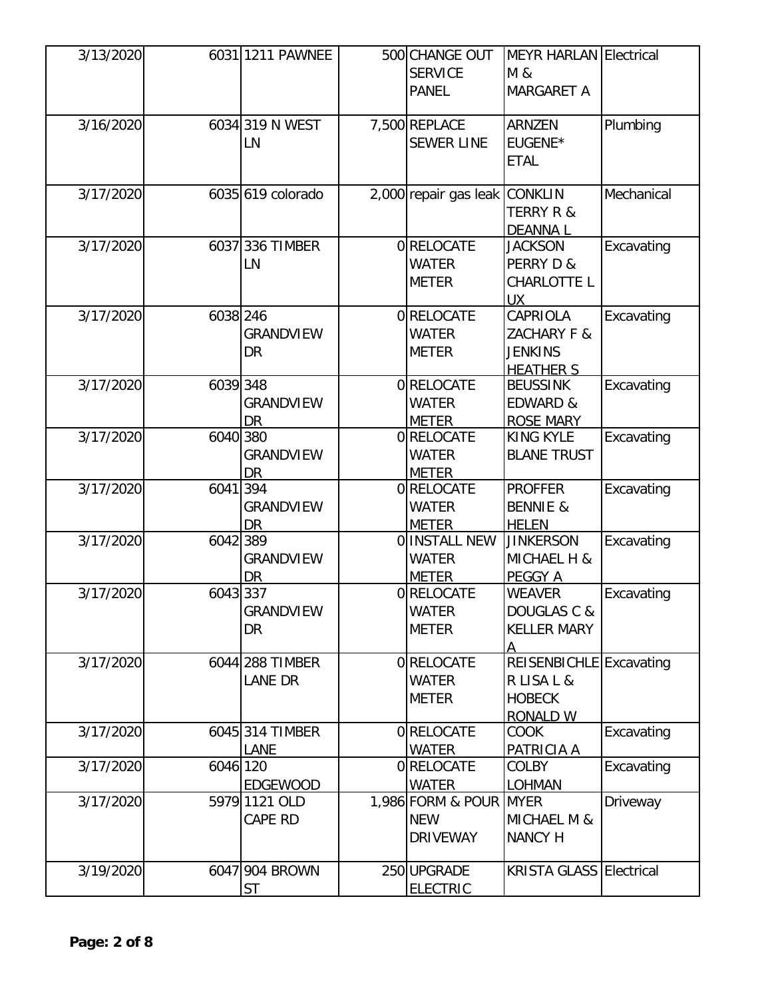| 3/13/2020 |          | 6031 1211 PAWNEE  | 500 CHANGE OUT        | <b>MEYR HARLAN Electrical</b>  |            |
|-----------|----------|-------------------|-----------------------|--------------------------------|------------|
|           |          |                   | <b>SERVICE</b>        | M &                            |            |
|           |          |                   | <b>PANEL</b>          | <b>MARGARET A</b>              |            |
| 3/16/2020 |          | 6034 319 N WEST   | 7,500 REPLACE         | <b>ARNZEN</b>                  | Plumbing   |
|           |          | LN                | <b>SEWER LINE</b>     | EUGENE*                        |            |
|           |          |                   |                       | <b>ETAL</b>                    |            |
|           |          |                   |                       |                                |            |
| 3/17/2020 |          | 6035 619 colorado | 2,000 repair gas leak | <b>CONKLIN</b>                 | Mechanical |
|           |          |                   |                       | <b>TERRY R &amp;</b>           |            |
|           |          |                   |                       | <b>DEANNAL</b>                 |            |
| 3/17/2020 |          | 6037 336 TIMBER   | 0RELOCATE             | <b>JACKSON</b>                 | Excavating |
|           |          | LN                | <b>WATER</b>          | PERRY D &                      |            |
|           |          |                   | <b>METER</b>          | CHARLOTTE L                    |            |
|           |          |                   |                       | <b>UX</b>                      |            |
| 3/17/2020 | 6038 246 |                   | 0RELOCATE             | CAPRIOLA                       | Excavating |
|           |          | <b>GRANDVIEW</b>  | <b>WATER</b>          | ZACHARY F &                    |            |
|           |          | DR                | <b>METER</b>          | <b>JENKINS</b>                 |            |
|           |          |                   |                       | <b>HEATHER S</b>               |            |
| 3/17/2020 | 6039 348 |                   | 0 RELOCATE            | <b>BEUSSINK</b>                | Excavating |
|           |          | <b>GRANDVIEW</b>  | <b>WATER</b>          | EDWARD &                       |            |
|           |          | <b>DR</b>         | <b>METER</b>          | <b>ROSE MARY</b>               |            |
| 3/17/2020 | 6040 380 |                   | 0RELOCATE             | <b>KING KYLE</b>               | Excavating |
|           |          | <b>GRANDVIEW</b>  | <b>WATER</b>          | <b>BLANE TRUST</b>             |            |
|           |          | <b>DR</b>         | <b>METER</b>          |                                |            |
| 3/17/2020 | 6041 394 |                   | 0 RELOCATE            | <b>PROFFER</b>                 | Excavating |
|           |          | <b>GRANDVIEW</b>  | <b>WATER</b>          | <b>BENNIE &amp;</b>            |            |
|           |          | <b>DR</b>         | <b>METER</b>          | <b>HELEN</b>                   |            |
| 3/17/2020 | 6042 389 |                   | O INSTALL NEW         | <b>JINKERSON</b>               | Excavating |
|           |          | <b>GRANDVIEW</b>  | <b>WATER</b>          | MICHAEL H &                    |            |
|           |          | <b>DR</b>         | <b>METER</b>          | PEGGY A                        |            |
| 3/17/2020 | 6043 337 |                   | 0RELOCATE             | <b>WEAVER</b>                  | Excavating |
|           |          | <b>GRANDVIEW</b>  | <b>WATER</b>          | DOUGLAS C &                    |            |
|           |          | DR                | <b>METER</b>          | <b>KELLER MARY</b>             |            |
|           |          |                   |                       | А                              |            |
| 3/17/2020 |          | 6044 288 TIMBER   | 0RELOCATE             | REISENBICHLE Excavating        |            |
|           |          | LANE DR           | <b>WATER</b>          | R LISA L &                     |            |
|           |          |                   | <b>METER</b>          | <b>HOBECK</b>                  |            |
|           |          |                   |                       | <b>RONALD W</b>                |            |
| 3/17/2020 |          | 6045 314 TIMBER   | <b>ORELOCATE</b>      | <b>COOK</b>                    | Excavating |
|           |          | LANE              | <b>WATER</b>          | PATRICIA A                     |            |
| 3/17/2020 | 6046 120 |                   | <b>ORELOCATE</b>      | <b>COLBY</b>                   | Excavating |
|           |          | <b>EDGEWOOD</b>   | <b>WATER</b>          | <b>LOHMAN</b>                  |            |
| 3/17/2020 |          | 5979 1121 OLD     | 1,986 FORM & POUR     | <b>MYER</b>                    | Driveway   |
|           |          | CAPE RD           | <b>NEW</b>            | MICHAEL M &                    |            |
|           |          |                   | <b>DRIVEWAY</b>       | <b>NANCY H</b>                 |            |
|           |          |                   |                       |                                |            |
| 3/19/2020 |          | 6047 904 BROWN    | 250 UPGRADE           | <b>KRISTA GLASS Electrical</b> |            |
|           |          | <b>ST</b>         | <b>ELECTRIC</b>       |                                |            |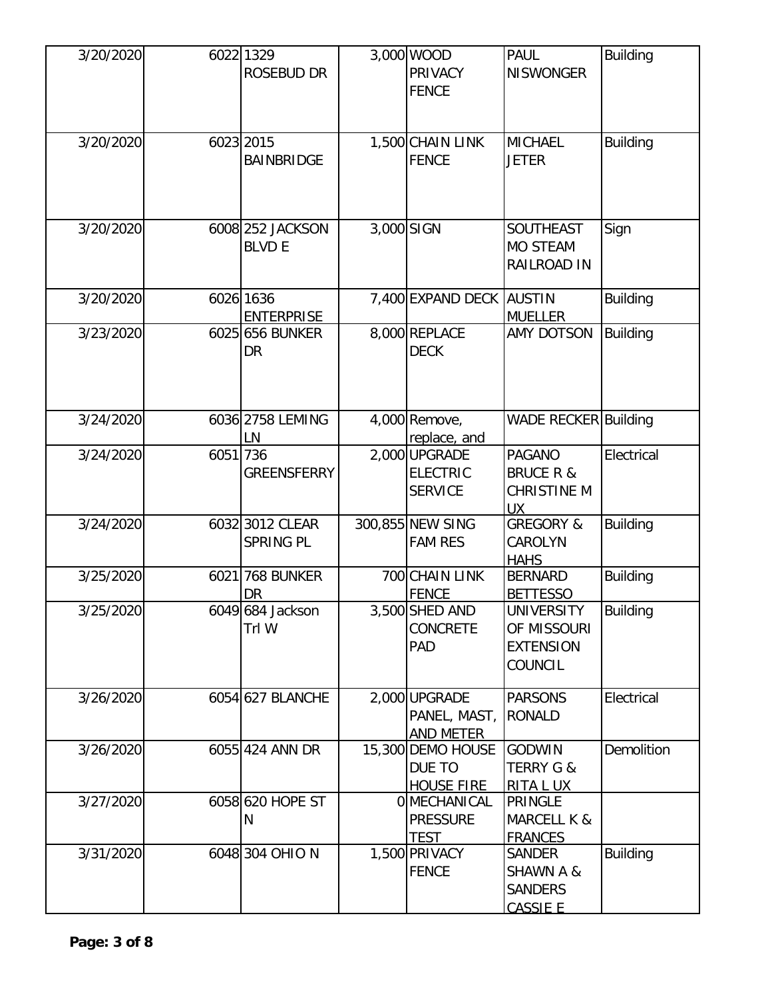| 3/20/2020 |          | 6022 1329<br>ROSEBUD DR           |            | 3,000 WOOD<br><b>PRIVACY</b><br><b>FENCE</b>       | <b>PAUL</b><br><b>NISWONGER</b>                                            | <b>Building</b> |
|-----------|----------|-----------------------------------|------------|----------------------------------------------------|----------------------------------------------------------------------------|-----------------|
| 3/20/2020 |          | 6023 2015<br><b>BAINBRIDGE</b>    |            | 1,500 CHAIN LINK<br><b>FENCE</b>                   | <b>MICHAEL</b><br><b>JETER</b>                                             | <b>Building</b> |
| 3/20/2020 |          | 6008 252 JACKSON<br><b>BLVD E</b> | 3,000 SIGN |                                                    | SOUTHEAST<br><b>MO STEAM</b><br>RAILROAD IN                                | Sign            |
| 3/20/2020 |          | 6026 1636<br><b>ENTERPRISE</b>    |            | 7,400 EXPAND DECK AUSTIN                           | <b>MUELLER</b>                                                             | <b>Building</b> |
| 3/23/2020 |          | 6025 656 BUNKER<br>DR             |            | 8,000 REPLACE<br><b>DECK</b>                       | AMY DOTSON                                                                 | <b>Building</b> |
| 3/24/2020 |          | 6036 2758 LEMING<br>LN            |            | 4,000 Remove,<br>replace, and                      | <b>WADE RECKER Building</b>                                                |                 |
| 3/24/2020 | 6051 736 | <b>GREENSFERRY</b>                |            | 2,000 UPGRADE<br><b>ELECTRIC</b><br><b>SERVICE</b> | <b>PAGANO</b><br><b>BRUCE R &amp;</b><br><b>CHRISTINE M</b><br>UX          | Electrical      |
| 3/24/2020 |          | 6032 3012 CLEAR<br>SPRING PL      |            | 300,855 NEW SING<br><b>FAM RES</b>                 | <b>GREGORY &amp;</b><br>CAROLYN<br><b>HAHS</b>                             | <b>Building</b> |
| 3/25/2020 |          | 6021 768 BUNKER<br><u>DR</u>      |            | 700 CHAIN LINK<br><b>FENCE</b>                     | <b>BERNARD</b><br><b>BETTESSO</b>                                          | <b>Building</b> |
| 3/25/2020 |          | 6049 684 Jackson<br>Trl W         |            | 3,500 SHED AND<br><b>CONCRETE</b><br>PAD           | UNIVERSITY<br>OF MISSOURI<br><b>EXTENSION</b><br>COUNCIL                   | Building        |
| 3/26/2020 |          | 6054 627 BLANCHE                  |            | 2,000 UPGRADE<br>PANEL, MAST,<br>AND METER         | <b>PARSONS</b><br><b>RONALD</b>                                            | Electrical      |
| 3/26/2020 |          | 6055 424 ANN DR                   |            | 15,300 DEMO HOUSE<br>DUE TO<br><b>HOUSE FIRE</b>   | <b>GODWIN</b><br><b>TERRY G &amp;</b><br>RITA L UX                         | Demolition      |
| 3/27/2020 |          | 6058 620 HOPE ST<br>N             |            | 0 MECHANICAL<br><b>PRESSURE</b><br><b>TEST</b>     | <b>PRINGLE</b><br><b>MARCELL K &amp;</b><br><b>FRANCES</b>                 |                 |
| 3/31/2020 |          | 6048 304 OHIO N                   |            | 1,500 PRIVACY<br><b>FENCE</b>                      | <b>SANDER</b><br><b>SHAWN A &amp;</b><br><b>SANDERS</b><br><b>CASSIE E</b> | <b>Building</b> |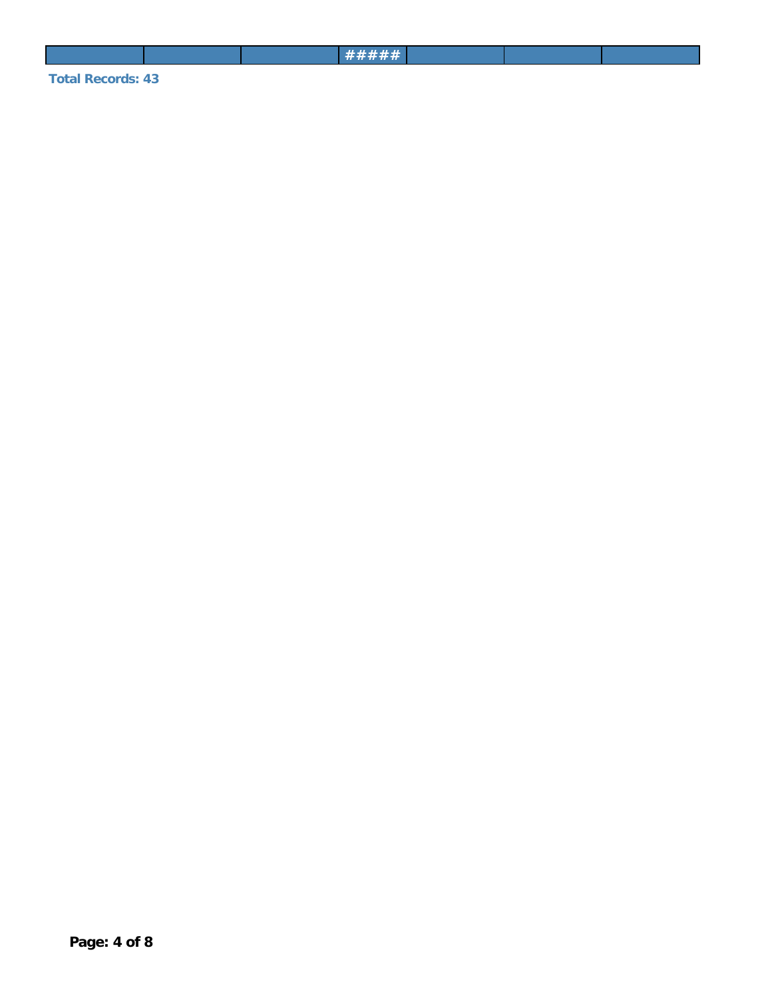**Total Records: 43**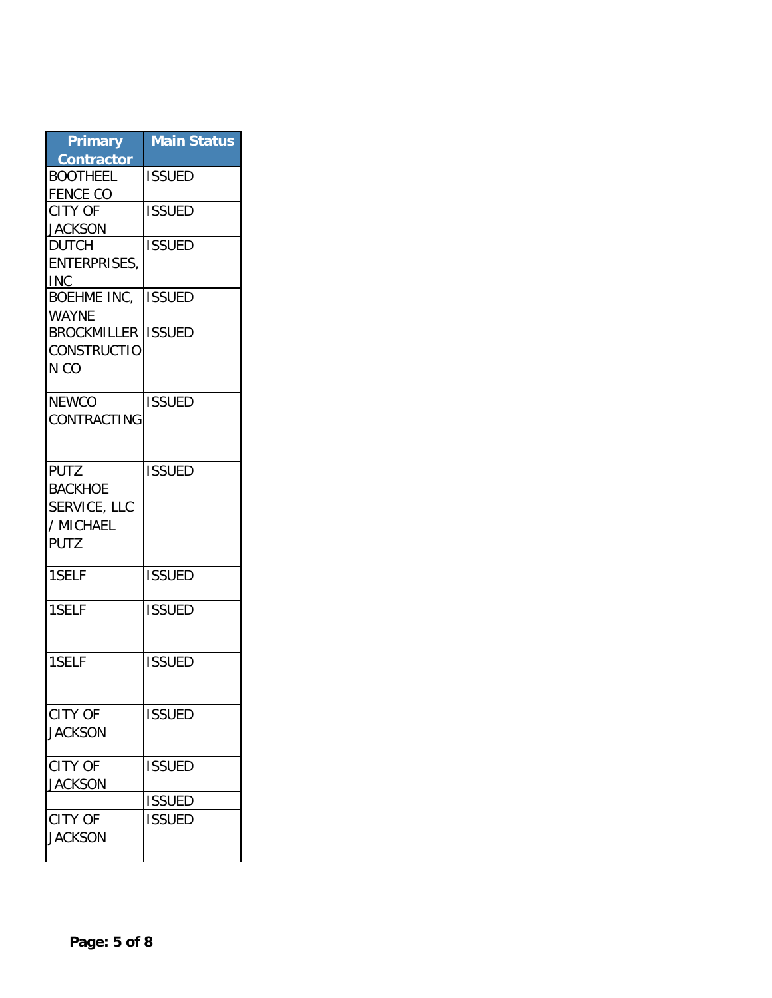| <b>Primary</b><br><b>Contractor</b> | <b>Main Status</b> |
|-------------------------------------|--------------------|
| <b>BOOTHEEL</b>                     | <b>ISSUED</b>      |
| <b>FENCE CO</b>                     |                    |
| <b>CITY OF</b>                      | <b>ISSUED</b>      |
| <b>JACKSON</b>                      |                    |
| <b>DUTCH</b>                        | <b>ISSUED</b>      |
| <b>ENTERPRISES,</b><br>INC .        |                    |
| <b>BOEHME INC.</b>                  | <b>ISSUED</b>      |
| <b>WAYNE</b>                        |                    |
| <b>BROCKMILLER</b>                  | <b>ISSUED</b>      |
| <b>CONSTRUCTIO</b>                  |                    |
| N CO                                |                    |
| <b>NEWCO</b>                        | <b>ISSUED</b>      |
| CONTRACTING                         |                    |
|                                     |                    |
| <b>PUTZ</b>                         | <b>ISSUED</b>      |
| <b>BACKHOE</b>                      |                    |
| SERVICE, LLC                        |                    |
| / MICHAEL                           |                    |
| <b>PUTZ</b>                         |                    |
|                                     |                    |
| 1SELF                               | <b>ISSUED</b>      |
| 1SELF                               | <b>ISSUED</b>      |
|                                     |                    |
| 1SELF                               | <b>ISSUED</b>      |
|                                     |                    |
| <b>CITY OF</b>                      | <b>ISSUED</b>      |
| <b>JACKSON</b>                      |                    |
|                                     |                    |
| <b>CITY OF</b>                      | <b>ISSUED</b>      |
| <b>JACKSON</b>                      |                    |
|                                     | <b>ISSUED</b>      |
| <b>CITY OF</b>                      | <b>ISSUED</b>      |
| <b>JACKSON</b>                      |                    |
|                                     |                    |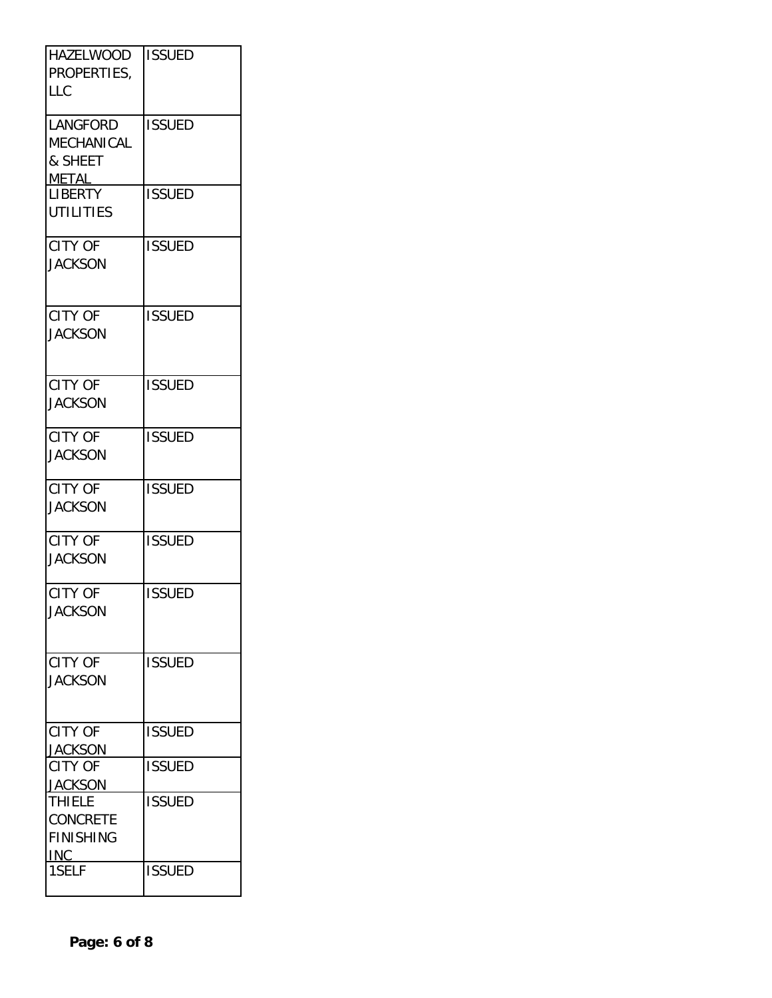| <b>HAZELWOOD</b><br>PROPERTIES,<br>LLC                      | <b>ISSUED</b> |
|-------------------------------------------------------------|---------------|
| <b>LANGFORD</b><br>MECHANICAL<br>& SHEET<br><b>METAL</b>    | <b>ISSUED</b> |
| <b>LIBERTY</b><br>UTILITIES                                 | <b>ISSUED</b> |
| <b>CITY OF</b><br><b>JACKSON</b>                            | <b>ISSUED</b> |
| <b>CITY OF</b><br><b>JACKSON</b>                            | <b>ISSUED</b> |
| <b>CITY OF</b><br><b>JACKSON</b>                            | <b>ISSUED</b> |
| <b>CITY OF</b><br><b>JACKSON</b>                            | <b>ISSUED</b> |
| <b>CITY OF</b><br><b>JACKSON</b>                            | <b>ISSUED</b> |
| <b>CITY OF</b><br><b>JACKSON</b>                            | <b>ISSUED</b> |
| <b>CITY OF</b><br><b>JACKSON</b>                            | <b>ISSUED</b> |
| <b>CITY OF</b><br><b>JACKSON</b>                            | <b>ISSUED</b> |
| <b>CITY OF</b><br><b>JACKSON</b>                            | <b>ISSUED</b> |
| <b>CITY OF</b><br><b>JACKSON</b>                            | <b>ISSUED</b> |
| <b>THIELE</b><br><b>CONCRETE</b><br><b>FINISHING</b><br>INC | <b>ISSUED</b> |
| 1SELF                                                       | <b>ISSUED</b> |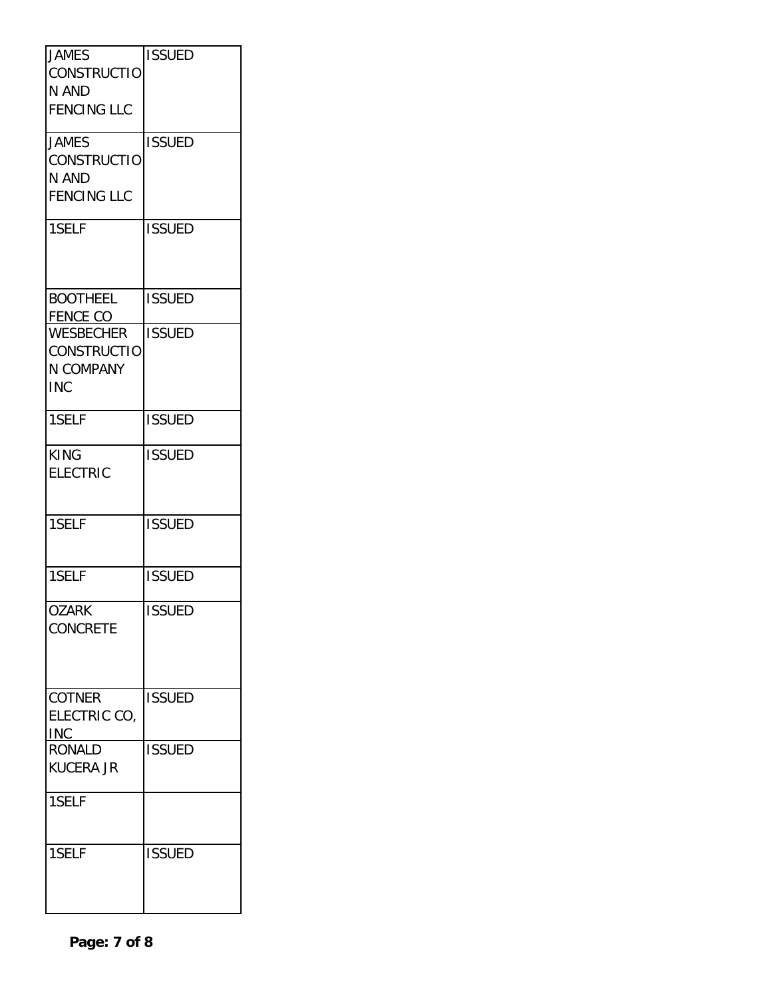| <b>JAMES</b><br><b>CONSTRUCTIO</b><br>N AND<br><b>FENCING LLC</b> | <b>ISSUED</b> |
|-------------------------------------------------------------------|---------------|
| <b>JAMES</b><br>CONSTRUCTIO<br>N AND<br><b>FENCING LLC</b>        | <b>ISSUED</b> |
| 1SELF                                                             | <b>ISSUED</b> |
| <b>BOOTHEEL</b><br>FENCE CO                                       | <b>ISSUED</b> |
| <b>WESBECHER</b><br><b>CONSTRUCTIO</b><br>N COMPANY<br><b>INC</b> | <b>ISSUED</b> |
| 1SELF                                                             | <b>ISSUED</b> |
| <b>KING</b><br><b>ELECTRIC</b>                                    | <b>ISSUED</b> |
| 1SELF                                                             | <b>ISSUED</b> |
| 1SELF                                                             | <b>ISSUED</b> |
| <b>OZARK</b><br><b>CONCRETE</b>                                   | <b>ISSUED</b> |
| <b>COTNER</b><br>ELECTRIC CO,<br><b>INC</b>                       | <b>ISSUED</b> |
| <b>RONALD</b><br><b>KUCERA JR</b><br>1SELF                        | <b>ISSUED</b> |
|                                                                   |               |
| 1SELF                                                             | <b>ISSUED</b> |